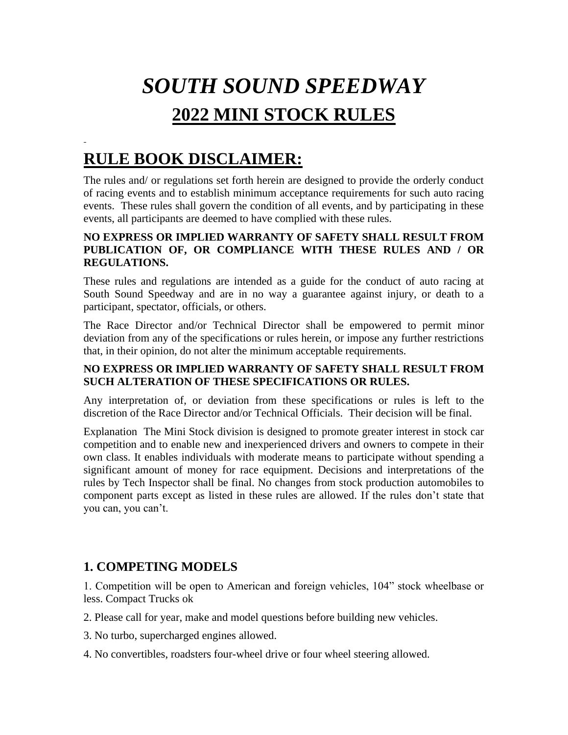# *SOUTH SOUND SPEEDWAY*  **2022 MINI STOCK RULES**

## **RULE BOOK DISCLAIMER:**

The rules and/ or regulations set forth herein are designed to provide the orderly conduct of racing events and to establish minimum acceptance requirements for such auto racing events. These rules shall govern the condition of all events, and by participating in these events, all participants are deemed to have complied with these rules.

#### **NO EXPRESS OR IMPLIED WARRANTY OF SAFETY SHALL RESULT FROM PUBLICATION OF, OR COMPLIANCE WITH THESE RULES AND / OR REGULATIONS.**

These rules and regulations are intended as a guide for the conduct of auto racing at South Sound Speedway and are in no way a guarantee against injury, or death to a participant, spectator, officials, or others.

The Race Director and/or Technical Director shall be empowered to permit minor deviation from any of the specifications or rules herein, or impose any further restrictions that, in their opinion, do not alter the minimum acceptable requirements.

#### **NO EXPRESS OR IMPLIED WARRANTY OF SAFETY SHALL RESULT FROM SUCH ALTERATION OF THESE SPECIFICATIONS OR RULES.**

Any interpretation of, or deviation from these specifications or rules is left to the discretion of the Race Director and/or Technical Officials. Their decision will be final.

Explanation The Mini Stock division is designed to promote greater interest in stock car competition and to enable new and inexperienced drivers and owners to compete in their own class. It enables individuals with moderate means to participate without spending a significant amount of money for race equipment. Decisions and interpretations of the rules by Tech Inspector shall be final. No changes from stock production automobiles to component parts except as listed in these rules are allowed. If the rules don't state that you can, you can't.

## **1. COMPETING MODELS**

1. Competition will be open to American and foreign vehicles, 104" stock wheelbase or less. Compact Trucks ok

- 2. Please call for year, make and model questions before building new vehicles.
- 3. No turbo, supercharged engines allowed.
- 4. No convertibles, roadsters four-wheel drive or four wheel steering allowed.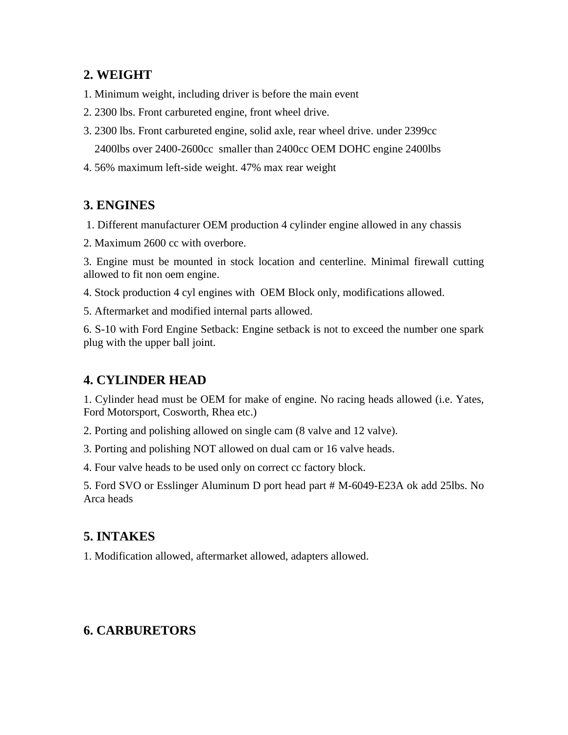## **2. WEIGHT**

- 1. Minimum weight, including driver is before the main event
- 2. 2300 lbs. Front carbureted engine, front wheel drive.
- 3. 2300 lbs. Front carbureted engine, solid axle, rear wheel drive. under 2399cc 2400lbs over 2400-2600cc smaller than 2400cc OEM DOHC engine 2400lbs
- 4. 56% maximum left-side weight. 47% max rear weight

## **3. ENGINES**

- 1. Different manufacturer OEM production 4 cylinder engine allowed in any chassis
- 2. Maximum 2600 cc with overbore.

3. Engine must be mounted in stock location and centerline. Minimal firewall cutting allowed to fit non oem engine.

4. Stock production 4 cyl engines with OEM Block only, modifications allowed.

5. Aftermarket and modified internal parts allowed.

6. S-10 with Ford Engine Setback: Engine setback is not to exceed the number one spark plug with the upper ball joint.

## **4. CYLINDER HEAD**

1. Cylinder head must be OEM for make of engine. No racing heads allowed (i.e. Yates, Ford Motorsport, Cosworth, Rhea etc.)

2. Porting and polishing allowed on single cam (8 valve and 12 valve).

3. Porting and polishing NOT allowed on dual cam or 16 valve heads.

4. Four valve heads to be used only on correct cc factory block.

5. Ford SVO or Esslinger Aluminum D port head part # M-6049-E23A ok add 25lbs. No Arca heads

## **5. INTAKES**

1. Modification allowed, aftermarket allowed, adapters allowed.

## **6. CARBURETORS**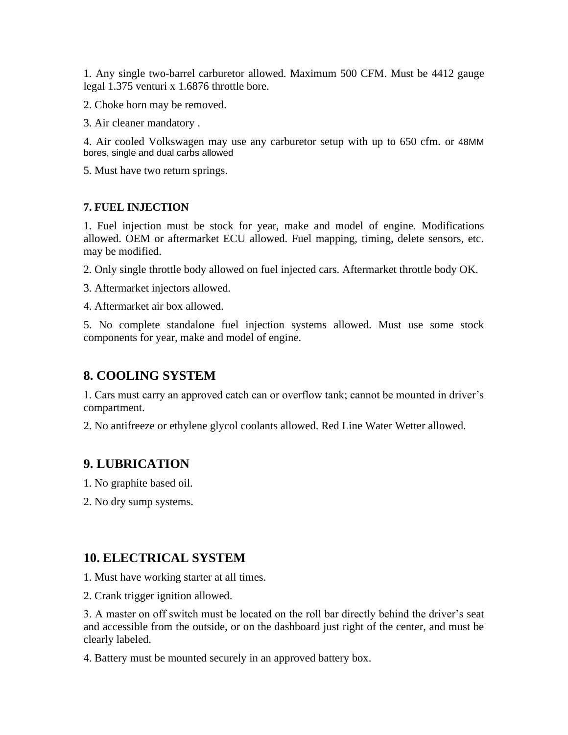1. Any single two-barrel carburetor allowed. Maximum 500 CFM. Must be 4412 gauge legal 1.375 venturi x 1.6876 throttle bore.

2. Choke horn may be removed.

3. Air cleaner mandatory .

4. Air cooled Volkswagen may use any carburetor setup with up to 650 cfm. or 48MM bores, single and dual carbs allowed

5. Must have two return springs.

#### **7. FUEL INJECTION**

1. Fuel injection must be stock for year, make and model of engine. Modifications allowed. OEM or aftermarket ECU allowed. Fuel mapping, timing, delete sensors, etc. may be modified.

2. Only single throttle body allowed on fuel injected cars. Aftermarket throttle body OK.

3. Aftermarket injectors allowed.

4. Aftermarket air box allowed.

5. No complete standalone fuel injection systems allowed. Must use some stock components for year, make and model of engine.

## **8. COOLING SYSTEM**

1. Cars must carry an approved catch can or overflow tank; cannot be mounted in driver's compartment.

2. No antifreeze or ethylene glycol coolants allowed. Red Line Water Wetter allowed.

## **9. LUBRICATION**

1. No graphite based oil.

2. No dry sump systems.

#### **10. ELECTRICAL SYSTEM**

1. Must have working starter at all times.

2. Crank trigger ignition allowed.

3. A master on off switch must be located on the roll bar directly behind the driver's seat and accessible from the outside, or on the dashboard just right of the center, and must be clearly labeled.

4. Battery must be mounted securely in an approved battery box.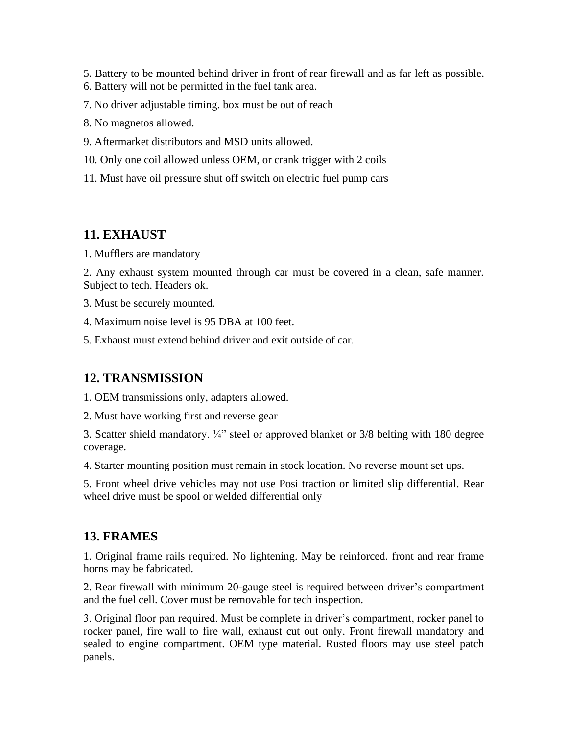- 5. Battery to be mounted behind driver in front of rear firewall and as far left as possible.
- 6. Battery will not be permitted in the fuel tank area.
- 7. No driver adjustable timing. box must be out of reach
- 8. No magnetos allowed.
- 9. Aftermarket distributors and MSD units allowed.
- 10. Only one coil allowed unless OEM, or crank trigger with 2 coils
- 11. Must have oil pressure shut off switch on electric fuel pump cars

#### **11. EXHAUST**

1. Mufflers are mandatory

2. Any exhaust system mounted through car must be covered in a clean, safe manner. Subject to tech. Headers ok.

3. Must be securely mounted.

4. Maximum noise level is 95 DBA at 100 feet.

5. Exhaust must extend behind driver and exit outside of car.

#### **12. TRANSMISSION**

1. OEM transmissions only, adapters allowed.

2. Must have working first and reverse gear

3. Scatter shield mandatory. ¼" steel or approved blanket or 3/8 belting with 180 degree coverage.

4. Starter mounting position must remain in stock location. No reverse mount set ups.

5. Front wheel drive vehicles may not use Posi traction or limited slip differential. Rear wheel drive must be spool or welded differential only

#### **13. FRAMES**

1. Original frame rails required. No lightening. May be reinforced. front and rear frame horns may be fabricated.

2. Rear firewall with minimum 20-gauge steel is required between driver's compartment and the fuel cell. Cover must be removable for tech inspection.

3. Original floor pan required. Must be complete in driver's compartment, rocker panel to rocker panel, fire wall to fire wall, exhaust cut out only. Front firewall mandatory and sealed to engine compartment. OEM type material. Rusted floors may use steel patch panels.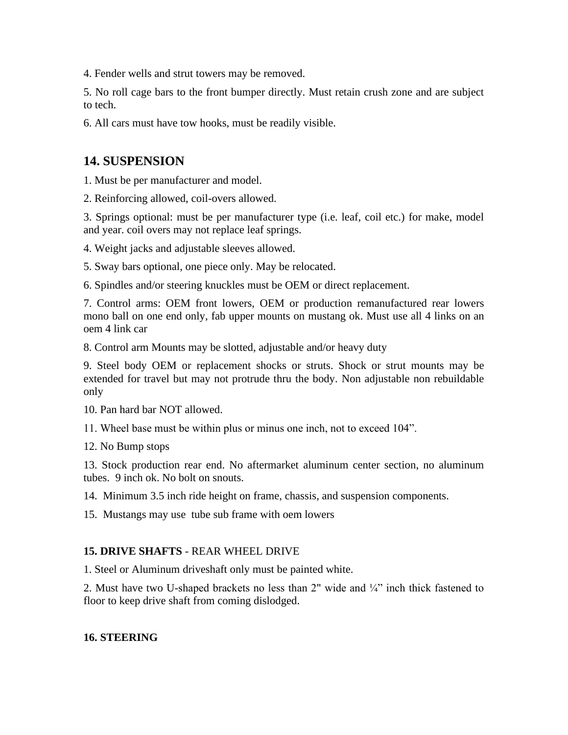4. Fender wells and strut towers may be removed.

5. No roll cage bars to the front bumper directly. Must retain crush zone and are subject to tech.

6. All cars must have tow hooks, must be readily visible.

#### **14. SUSPENSION**

1. Must be per manufacturer and model.

2. Reinforcing allowed, coil-overs allowed.

3. Springs optional: must be per manufacturer type (i.e. leaf, coil etc.) for make, model and year. coil overs may not replace leaf springs.

4. Weight jacks and adjustable sleeves allowed.

5. Sway bars optional, one piece only. May be relocated.

6. Spindles and/or steering knuckles must be OEM or direct replacement.

7. Control arms: OEM front lowers, OEM or production remanufactured rear lowers mono ball on one end only, fab upper mounts on mustang ok. Must use all 4 links on an oem 4 link car

8. Control arm Mounts may be slotted, adjustable and/or heavy duty

9. Steel body OEM or replacement shocks or struts. Shock or strut mounts may be extended for travel but may not protrude thru the body. Non adjustable non rebuildable only

10. Pan hard bar NOT allowed.

11. Wheel base must be within plus or minus one inch, not to exceed 104".

12. No Bump stops

13. Stock production rear end. No aftermarket aluminum center section, no aluminum tubes. 9 inch ok. No bolt on snouts.

14. Minimum 3.5 inch ride height on frame, chassis, and suspension components.

15. Mustangs may use tube sub frame with oem lowers

#### **15. DRIVE SHAFTS** - REAR WHEEL DRIVE

1. Steel or Aluminum driveshaft only must be painted white.

2. Must have two U-shaped brackets no less than  $2$ " wide and  $\frac{1}{4}$ " inch thick fastened to floor to keep drive shaft from coming dislodged.

#### **16. STEERING**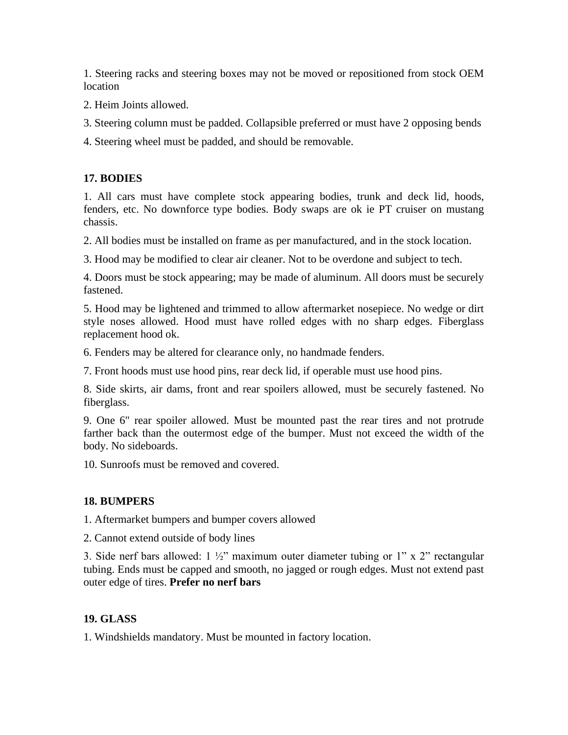1. Steering racks and steering boxes may not be moved or repositioned from stock OEM **location** 

2. Heim Joints allowed.

3. Steering column must be padded. Collapsible preferred or must have 2 opposing bends

4. Steering wheel must be padded, and should be removable.

#### **17. BODIES**

1. All cars must have complete stock appearing bodies, trunk and deck lid, hoods, fenders, etc. No downforce type bodies. Body swaps are ok ie PT cruiser on mustang chassis.

2. All bodies must be installed on frame as per manufactured, and in the stock location.

3. Hood may be modified to clear air cleaner. Not to be overdone and subject to tech.

4. Doors must be stock appearing; may be made of aluminum. All doors must be securely fastened.

5. Hood may be lightened and trimmed to allow aftermarket nosepiece. No wedge or dirt style noses allowed. Hood must have rolled edges with no sharp edges. Fiberglass replacement hood ok.

6. Fenders may be altered for clearance only, no handmade fenders.

7. Front hoods must use hood pins, rear deck lid, if operable must use hood pins.

8. Side skirts, air dams, front and rear spoilers allowed, must be securely fastened. No fiberglass.

9. One 6" rear spoiler allowed. Must be mounted past the rear tires and not protrude farther back than the outermost edge of the bumper. Must not exceed the width of the body. No sideboards.

10. Sunroofs must be removed and covered.

#### **18. BUMPERS**

1. Aftermarket bumpers and bumper covers allowed

2. Cannot extend outside of body lines

3. Side nerf bars allowed:  $1\frac{1}{2}$ " maximum outer diameter tubing or 1" x 2" rectangular tubing. Ends must be capped and smooth, no jagged or rough edges. Must not extend past outer edge of tires. **Prefer no nerf bars**

#### **19. GLASS**

1. Windshields mandatory. Must be mounted in factory location.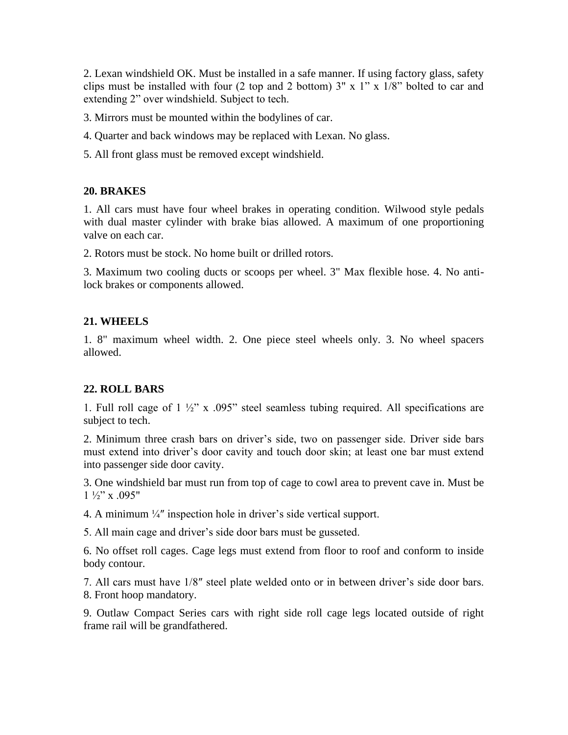2. Lexan windshield OK. Must be installed in a safe manner. If using factory glass, safety clips must be installed with four (2 top and 2 bottom)  $3'' \times 1'' \times 1/8''$  bolted to car and extending 2" over windshield. Subject to tech.

3. Mirrors must be mounted within the bodylines of car.

- 4. Quarter and back windows may be replaced with Lexan. No glass.
- 5. All front glass must be removed except windshield.

#### **20. BRAKES**

1. All cars must have four wheel brakes in operating condition. Wilwood style pedals with dual master cylinder with brake bias allowed. A maximum of one proportioning valve on each car.

2. Rotors must be stock. No home built or drilled rotors.

3. Maximum two cooling ducts or scoops per wheel. 3" Max flexible hose. 4. No antilock brakes or components allowed.

#### **21. WHEELS**

1. 8" maximum wheel width. 2. One piece steel wheels only. 3. No wheel spacers allowed.

#### **22. ROLL BARS**

1. Full roll cage of 1 ½" x .095" steel seamless tubing required. All specifications are subject to tech.

2. Minimum three crash bars on driver's side, two on passenger side. Driver side bars must extend into driver's door cavity and touch door skin; at least one bar must extend into passenger side door cavity.

3. One windshield bar must run from top of cage to cowl area to prevent cave in. Must be  $1\frac{1}{2}$ " x .095"

4. A minimum ¼″ inspection hole in driver's side vertical support.

5. All main cage and driver's side door bars must be gusseted.

6. No offset roll cages. Cage legs must extend from floor to roof and conform to inside body contour.

7. All cars must have 1/8″ steel plate welded onto or in between driver's side door bars. 8. Front hoop mandatory.

9. Outlaw Compact Series cars with right side roll cage legs located outside of right frame rail will be grandfathered.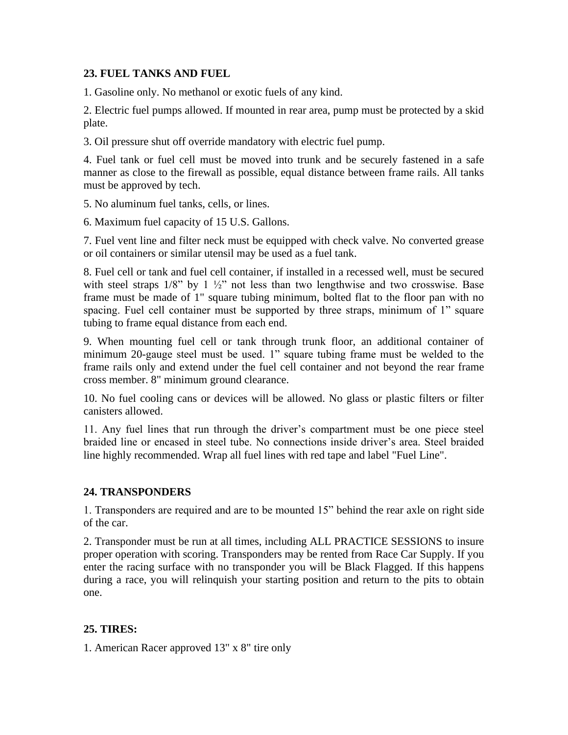#### **23. FUEL TANKS AND FUEL**

1. Gasoline only. No methanol or exotic fuels of any kind.

2. Electric fuel pumps allowed. If mounted in rear area, pump must be protected by a skid plate.

3. Oil pressure shut off override mandatory with electric fuel pump.

4. Fuel tank or fuel cell must be moved into trunk and be securely fastened in a safe manner as close to the firewall as possible, equal distance between frame rails. All tanks must be approved by tech.

5. No aluminum fuel tanks, cells, or lines.

6. Maximum fuel capacity of 15 U.S. Gallons.

7. Fuel vent line and filter neck must be equipped with check valve. No converted grease or oil containers or similar utensil may be used as a fuel tank.

8. Fuel cell or tank and fuel cell container, if installed in a recessed well, must be secured with steel straps  $1/8$ " by  $1\frac{1}{2}$ " not less than two lengthwise and two crosswise. Base frame must be made of 1" square tubing minimum, bolted flat to the floor pan with no spacing. Fuel cell container must be supported by three straps, minimum of 1" square tubing to frame equal distance from each end.

9. When mounting fuel cell or tank through trunk floor, an additional container of minimum 20-gauge steel must be used. 1" square tubing frame must be welded to the frame rails only and extend under the fuel cell container and not beyond the rear frame cross member. 8" minimum ground clearance.

10. No fuel cooling cans or devices will be allowed. No glass or plastic filters or filter canisters allowed.

11. Any fuel lines that run through the driver's compartment must be one piece steel braided line or encased in steel tube. No connections inside driver's area. Steel braided line highly recommended. Wrap all fuel lines with red tape and label "Fuel Line".

#### **24. TRANSPONDERS**

1. Transponders are required and are to be mounted 15" behind the rear axle on right side of the car.

2. Transponder must be run at all times, including ALL PRACTICE SESSIONS to insure proper operation with scoring. Transponders may be rented from Race Car Supply. If you enter the racing surface with no transponder you will be Black Flagged. If this happens during a race, you will relinquish your starting position and return to the pits to obtain one.

#### **25. TIRES:**

1. American Racer approved 13" x 8" tire only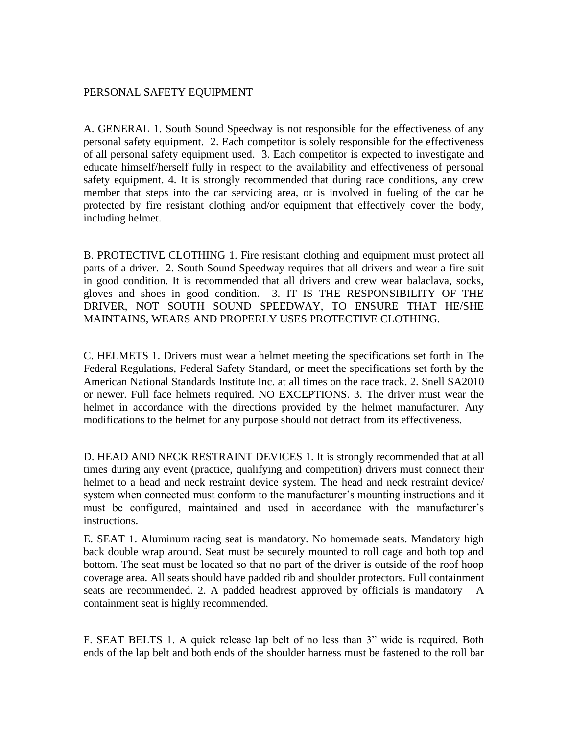#### PERSONAL SAFETY EQUIPMENT

A. GENERAL 1. South Sound Speedway is not responsible for the effectiveness of any personal safety equipment. 2. Each competitor is solely responsible for the effectiveness of all personal safety equipment used. 3. Each competitor is expected to investigate and educate himself/herself fully in respect to the availability and effectiveness of personal safety equipment. 4. It is strongly recommended that during race conditions, any crew member that steps into the car servicing area, or is involved in fueling of the car be protected by fire resistant clothing and/or equipment that effectively cover the body, including helmet.

B. PROTECTIVE CLOTHING 1. Fire resistant clothing and equipment must protect all parts of a driver. 2. South Sound Speedway requires that all drivers and wear a fire suit in good condition. It is recommended that all drivers and crew wear balaclava, socks, gloves and shoes in good condition. 3. IT IS THE RESPONSIBILITY OF THE DRIVER, NOT SOUTH SOUND SPEEDWAY, TO ENSURE THAT HE/SHE MAINTAINS, WEARS AND PROPERLY USES PROTECTIVE CLOTHING.

C. HELMETS 1. Drivers must wear a helmet meeting the specifications set forth in The Federal Regulations, Federal Safety Standard, or meet the specifications set forth by the American National Standards Institute Inc. at all times on the race track. 2. Snell SA2010 or newer. Full face helmets required. NO EXCEPTIONS. 3. The driver must wear the helmet in accordance with the directions provided by the helmet manufacturer. Any modifications to the helmet for any purpose should not detract from its effectiveness.

D. HEAD AND NECK RESTRAINT DEVICES 1. It is strongly recommended that at all times during any event (practice, qualifying and competition) drivers must connect their helmet to a head and neck restraint device system. The head and neck restraint device/ system when connected must conform to the manufacturer's mounting instructions and it must be configured, maintained and used in accordance with the manufacturer's instructions.

E. SEAT 1. Aluminum racing seat is mandatory. No homemade seats. Mandatory high back double wrap around. Seat must be securely mounted to roll cage and both top and bottom. The seat must be located so that no part of the driver is outside of the roof hoop coverage area. All seats should have padded rib and shoulder protectors. Full containment seats are recommended. 2. A padded headrest approved by officials is mandatory containment seat is highly recommended.

F. SEAT BELTS 1. A quick release lap belt of no less than 3" wide is required. Both ends of the lap belt and both ends of the shoulder harness must be fastened to the roll bar